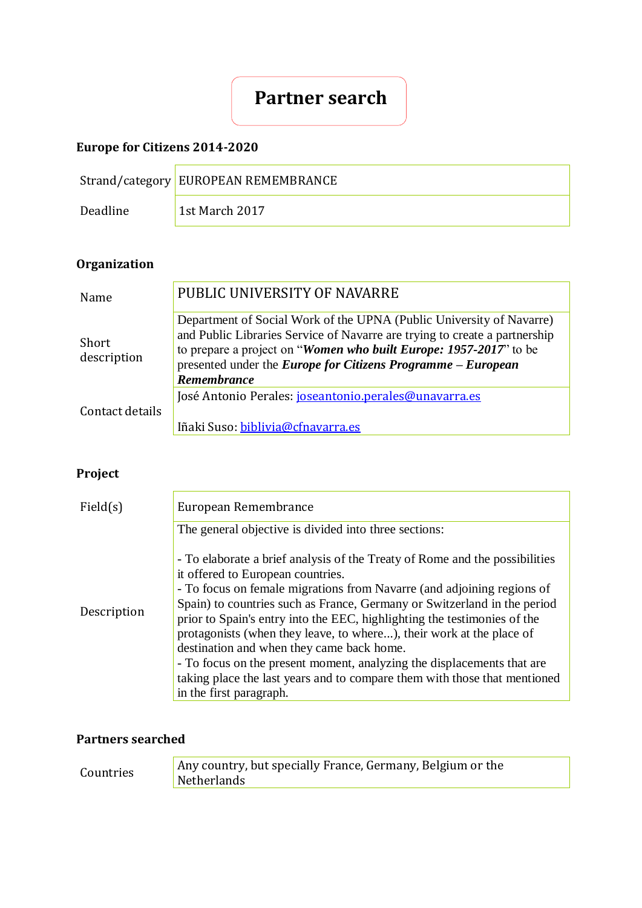# **Partner search**

## **Europe for Citizens 2014-2020**

|          | Strand/category EUROPEAN REMEMBRANCE |
|----------|--------------------------------------|
| Deadline | 1st March 2017                       |

## **Organization**

| Name                 | PUBLIC UNIVERSITY OF NAVARRE                                                                                                                                                                                                                                                                                  |
|----------------------|---------------------------------------------------------------------------------------------------------------------------------------------------------------------------------------------------------------------------------------------------------------------------------------------------------------|
| Short<br>description | Department of Social Work of the UPNA (Public University of Navarre)<br>and Public Libraries Service of Navarre are trying to create a partnership<br>to prepare a project on "Women who built Europe: 1957-2017" to be<br>presented under the <i>Europe for Citizens Programme – European</i><br>Remembrance |
| Contact details      | José Antonio Perales: joseantonio.perales@unavarra.es<br>Iñaki Suso: biblivia@cfnavarra.es                                                                                                                                                                                                                    |

## **Project**

| Field(s)    | European Remembrance                                                                                                                                                                                                                                                                                                                                                                                                                                                                                                                                                                                                                                      |
|-------------|-----------------------------------------------------------------------------------------------------------------------------------------------------------------------------------------------------------------------------------------------------------------------------------------------------------------------------------------------------------------------------------------------------------------------------------------------------------------------------------------------------------------------------------------------------------------------------------------------------------------------------------------------------------|
|             | The general objective is divided into three sections:                                                                                                                                                                                                                                                                                                                                                                                                                                                                                                                                                                                                     |
| Description | - To elaborate a brief analysis of the Treaty of Rome and the possibilities<br>it offered to European countries.<br>- To focus on female migrations from Navarre (and adjoining regions of<br>Spain) to countries such as France, Germany or Switzerland in the period<br>prior to Spain's entry into the EEC, highlighting the testimonies of the<br>protagonists (when they leave, to where), their work at the place of<br>destination and when they came back home.<br>- To focus on the present moment, analyzing the displacements that are<br>taking place the last years and to compare them with those that mentioned<br>in the first paragraph. |

### **Partners searched**

| Countries | Any country, but specially France, Germany, Belgium or the<br><b>Netherlands</b> |
|-----------|----------------------------------------------------------------------------------|
|-----------|----------------------------------------------------------------------------------|